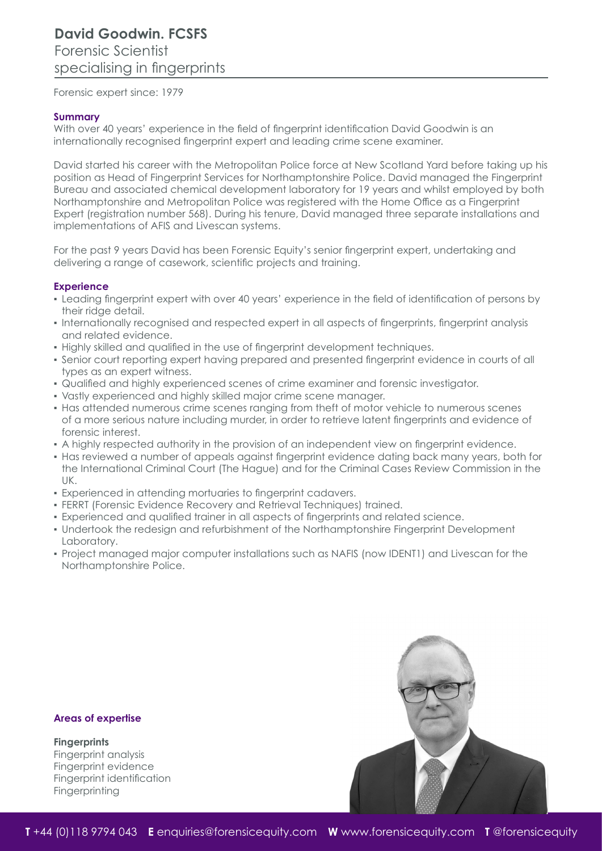Forensic expert since: 1979

#### **Summary**

With over 40 years' experience in the field of fingerprint identification David Goodwin is an internationally recognised fingerprint expert and leading crime scene examiner.

David started his career with the Metropolitan Police force at New Scotland Yard before taking up his position as Head of Fingerprint Services for Northamptonshire Police. David managed the Fingerprint Bureau and associated chemical development laboratory for 19 years and whilst employed by both Northamptonshire and Metropolitan Police was registered with the Home Office as a Fingerprint Expert (registration number 568). During his tenure, David managed three separate installations and implementations of AFIS and Livescan systems.

For the past 9 years David has been Forensic Equity's senior fingerprint expert, undertaking and delivering a range of casework, scientific projects and training.

#### **Experience**

- Leading fingerprint expert with over 40 years' experience in the field of identification of persons by their ridge detail.
- Internationally recognised and respected expert in all aspects of fingerprints, fingerprint analysis and related evidence.
- Highly skilled and qualified in the use of fingerprint development techniques.
- Senior court reporting expert having prepared and presented fingerprint evidence in courts of all types as an expert witness.
- Qualified and highly experienced scenes of crime examiner and forensic investigator.
- Vastly experienced and highly skilled major crime scene manager.
- Has attended numerous crime scenes ranging from theft of motor vehicle to numerous scenes of a more serious nature including murder, in order to retrieve latent fingerprints and evidence of forensic interest.
- A highly respected authority in the provision of an independent view on fingerprint evidence.
- Has reviewed a number of appeals against fingerprint evidence dating back many years, both for the International Criminal Court (The Hague) and for the Criminal Cases Review Commission in the UK.
- Experienced in attending mortuaries to fingerprint cadavers.
- FERRT (Forensic Evidence Recovery and Retrieval Techniques) trained.
- Experienced and qualified trainer in all aspects of fingerprints and related science.
- Undertook the redesign and refurbishment of the Northamptonshire Fingerprint Development Laboratory.
- Project managed major computer installations such as NAFIS (now IDENT1) and Livescan for the Northamptonshire Police.

#### **Areas of expertise**

# **Fingerprints**

Fingerprint analysis Fingerprint evidence Fingerprint identification **Fingerprinting**